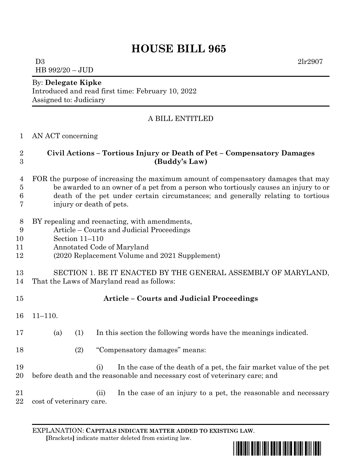# **HOUSE BILL 965**

 $D3$  2lr2907 HB 992/20 – JUD

#### By: **Delegate Kipke**

Introduced and read first time: February 10, 2022 Assigned to: Judiciary

## A BILL ENTITLED

#### AN ACT concerning

## **Civil Actions – Tortious Injury or Death of Pet – Compensatory Damages (Buddy's Law)**

- FOR the purpose of increasing the maximum amount of compensatory damages that may be awarded to an owner of a pet from a person who tortiously causes an injury to or death of the pet under certain circumstances; and generally relating to tortious
- injury or death of pets.
- BY repealing and reenacting, with amendments,
- Article Courts and Judicial Proceedings
- Section 11–110
- Annotated Code of Maryland
- (2020 Replacement Volume and 2021 Supplement)
- SECTION 1. BE IT ENACTED BY THE GENERAL ASSEMBLY OF MARYLAND,
- That the Laws of Maryland read as follows:

| 15 |              |     | <b>Article – Courts and Judicial Proceedings</b>                 |
|----|--------------|-----|------------------------------------------------------------------|
|    | $16$ 11-110. |     |                                                                  |
| 17 | (a)          | (1) | In this section the following words have the meanings indicated. |
| 18 |              | (2) | "Compensatory damages" means:                                    |

- (i) In the case of the death of a pet, the fair market value of the pet before death and the reasonable and necessary cost of veterinary care; and
- (ii) In the case of an injury to a pet, the reasonable and necessary cost of veterinary care.

EXPLANATION: **CAPITALS INDICATE MATTER ADDED TO EXISTING LAW**.  **[**Brackets**]** indicate matter deleted from existing law.